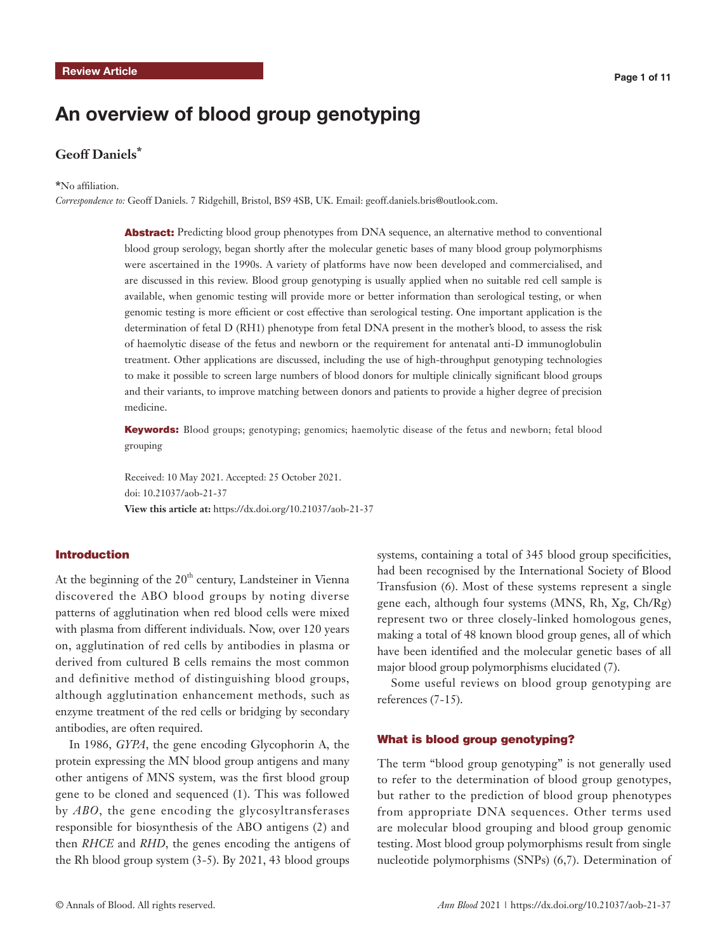# An overview of blood group genotyping

# **Geoff Daniels\***

#### **\***No affiliation.

*Correspondence to:* Geoff Daniels. 7 Ridgehill, Bristol, BS9 4SB, UK. Email: geoff.daniels.bris@outlook.com.

Abstract: Predicting blood group phenotypes from DNA sequence, an alternative method to conventional blood group serology, began shortly after the molecular genetic bases of many blood group polymorphisms were ascertained in the 1990s. A variety of platforms have now been developed and commercialised, and are discussed in this review. Blood group genotyping is usually applied when no suitable red cell sample is available, when genomic testing will provide more or better information than serological testing, or when genomic testing is more efficient or cost effective than serological testing. One important application is the determination of fetal D (RH1) phenotype from fetal DNA present in the mother's blood, to assess the risk of haemolytic disease of the fetus and newborn or the requirement for antenatal anti-D immunoglobulin treatment. Other applications are discussed, including the use of high-throughput genotyping technologies to make it possible to screen large numbers of blood donors for multiple clinically significant blood groups and their variants, to improve matching between donors and patients to provide a higher degree of precision medicine.

Keywords: Blood groups; genotyping; genomics; haemolytic disease of the fetus and newborn; fetal blood grouping

Received: 10 May 2021. Accepted: 25 October 2021. doi: 10.21037/aob-21-37 **View this article at:** https://dx.doi.org/10.21037/aob-21-37

# Introduction

At the beginning of the  $20<sup>th</sup>$  century, Landsteiner in Vienna discovered the ABO blood groups by noting diverse patterns of agglutination when red blood cells were mixed with plasma from different individuals. Now, over 120 years on, agglutination of red cells by antibodies in plasma or derived from cultured B cells remains the most common and definitive method of distinguishing blood groups, although agglutination enhancement methods, such as enzyme treatment of the red cells or bridging by secondary antibodies, are often required.

In 1986, *GYPA*, the gene encoding Glycophorin A, the protein expressing the MN blood group antigens and many other antigens of MNS system, was the first blood group gene to be cloned and sequenced (1). This was followed by *ABO*, the gene encoding the glycosyltransferases responsible for biosynthesis of the ABO antigens (2) and then *RHCE* and *RHD*, the genes encoding the antigens of the Rh blood group system (3-5). By 2021, 43 blood groups

systems, containing a total of 345 blood group specificities, had been recognised by the International Society of Blood Transfusion (6). Most of these systems represent a single gene each, although four systems (MNS, Rh, Xg, Ch/Rg) represent two or three closely-linked homologous genes, making a total of 48 known blood group genes, all of which have been identified and the molecular genetic bases of all major blood group polymorphisms elucidated (7).

Some useful reviews on blood group genotyping are references (7-15).

#### What is blood group genotyping?

The term "blood group genotyping" is not generally used to refer to the determination of blood group genotypes, but rather to the prediction of blood group phenotypes from appropriate DNA sequences. Other terms used are molecular blood grouping and blood group genomic testing. Most blood group polymorphisms result from single nucleotide polymorphisms (SNPs) (6,7). Determination of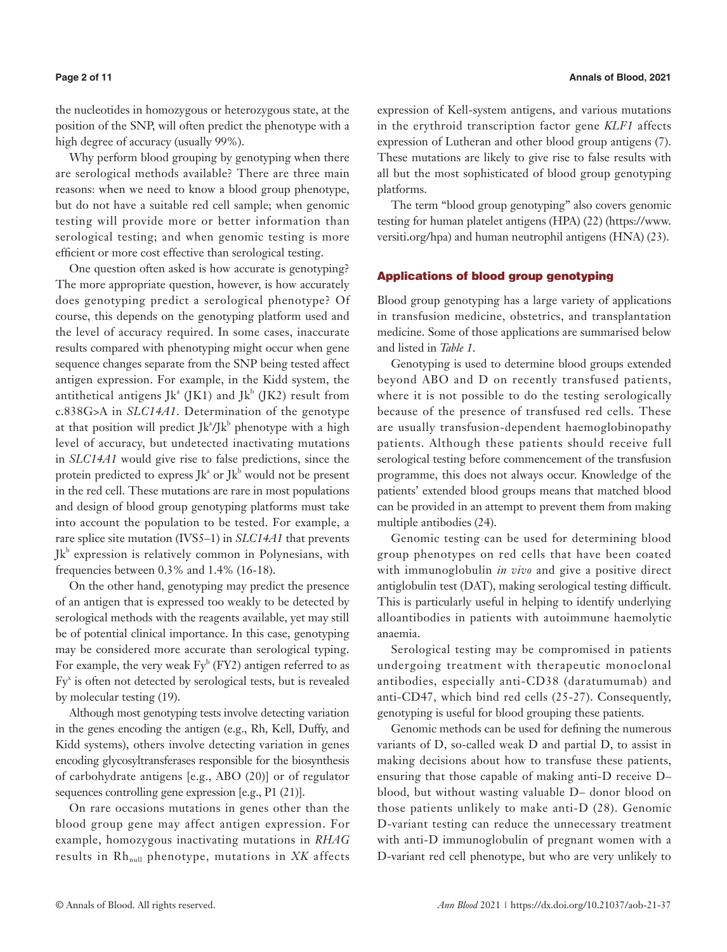the nucleotides in homozygous or heterozygous state, at the position of the SNP, will often predict the phenotype with a high degree of accuracy (usually 99%).

Why perform blood grouping by genotyping when there are serological methods available? There are three main reasons: when we need to know a blood group phenotype, but do not have a suitable red cell sample; when genomic testing will provide more or better information than serological testing; and when genomic testing is more efficient or more cost effective than serological testing.

One question often asked is how accurate is genotyping? The more appropriate question, however, is how accurately does genotyping predict a serological phenotype? Of course, this depends on the genotyping platform used and the level of accuracy required. In some cases, inaccurate results compared with phenotyping might occur when gene sequence changes separate from the SNP being tested affect antigen expression. For example, in the Kidd system, the antithetical antigens J $k^a$  (JK1) and J $k^b$  (JK2) result from c.838G>A in *SLC14A1*. Determination of the genotype at that position will predict  $Jk^2/Jk^b$  phenotype with a high level of accuracy, but undetected inactivating mutations in *SLC14A1* would give rise to false predictions, since the protein predicted to express  $Jk^a$  or  $Jk^b$  would not be present in the red cell. These mutations are rare in most populations and design of blood group genotyping platforms must take into account the population to be tested. For example, a rare splice site mutation (IVS5–1) in *SLC14A1* that prevents Jk<sup>b</sup> expression is relatively common in Polynesians, with frequencies between 0.3% and 1.4% (16-18).

On the other hand, genotyping may predict the presence of an antigen that is expressed too weakly to be detected by serological methods with the reagents available, yet may still be of potential clinical importance. In this case, genotyping may be considered more accurate than serological typing. For example, the very weak  $\text{Fy}^b$  (FY2) antigen referred to as Fy<sup>x</sup> is often not detected by serological tests, but is revealed by molecular testing (19).

Although most genotyping tests involve detecting variation in the genes encoding the antigen (e.g., Rh, Kell, Duffy, and Kidd systems), others involve detecting variation in genes encoding glycosyltransferases responsible for the biosynthesis of carbohydrate antigens [e.g., ABO (20)] or of regulator sequences controlling gene expression [e.g., P1 (21)].

On rare occasions mutations in genes other than the blood group gene may affect antigen expression. For example, homozygous inactivating mutations in *RHAG* results in Rh<sub>null</sub> phenotype, mutations in XK affects expression of Kell-system antigens, and various mutations in the erythroid transcription factor gene *KLF1* affects expression of Lutheran and other blood group antigens (7). These mutations are likely to give rise to false results with all but the most sophisticated of blood group genotyping platforms.

The term "blood group genotyping" also covers genomic testing for human platelet antigens (HPA) (22) [\(https://www.](https://www.versiti.org/hpa) [versiti.org/hpa](https://www.versiti.org/hpa)) and human neutrophil antigens (HNA) (23).

### Applications of blood group genotyping

Blood group genotyping has a large variety of applications in transfusion medicine, obstetrics, and transplantation medicine. Some of those applications are summarised below and listed in *Table 1*.

Genotyping is used to determine blood groups extended beyond ABO and D on recently transfused patients, where it is not possible to do the testing serologically because of the presence of transfused red cells. These are usually transfusion-dependent haemoglobinopathy patients. Although these patients should receive full serological testing before commencement of the transfusion programme, this does not always occur. Knowledge of the patients' extended blood groups means that matched blood can be provided in an attempt to prevent them from making multiple antibodies (24).

Genomic testing can be used for determining blood group phenotypes on red cells that have been coated with immunoglobulin *in vivo* and give a positive direct antiglobulin test (DAT), making serological testing difficult. This is particularly useful in helping to identify underlying alloantibodies in patients with autoimmune haemolytic anaemia.

Serological testing may be compromised in patients undergoing treatment with therapeutic monoclonal antibodies, especially anti-CD38 (daratumumab) and anti-CD47, which bind red cells (25-27). Consequently, genotyping is useful for blood grouping these patients.

Genomic methods can be used for defining the numerous variants of D, so-called weak D and partial D, to assist in making decisions about how to transfuse these patients, ensuring that those capable of making anti-D receive D– blood, but without wasting valuable D– donor blood on those patients unlikely to make anti-D (28). Genomic D-variant testing can reduce the unnecessary treatment with anti-D immunoglobulin of pregnant women with a D-variant red cell phenotype, but who are very unlikely to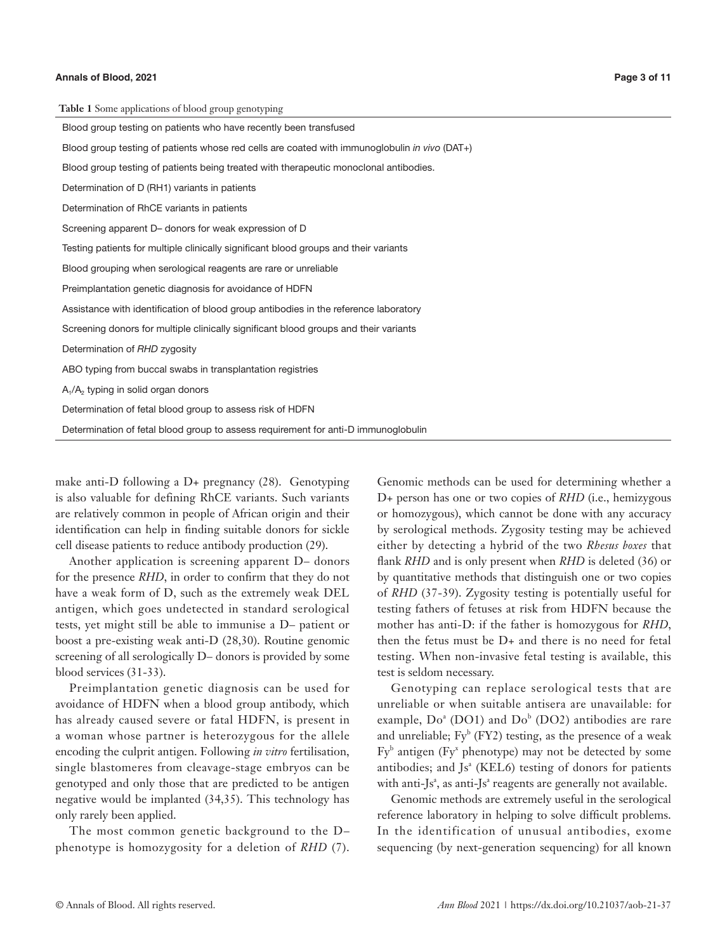| Table 1 Some applications of blood group genotyping                                           |
|-----------------------------------------------------------------------------------------------|
| Blood group testing on patients who have recently been transfused                             |
| Blood group testing of patients whose red cells are coated with immunoglobulin in vivo (DAT+) |
| Blood group testing of patients being treated with therapeutic monoclonal antibodies.         |
| Determination of D (RH1) variants in patients                                                 |
| Determination of RhCE variants in patients                                                    |
| Screening apparent D- donors for weak expression of D                                         |
| Testing patients for multiple clinically significant blood groups and their variants          |
| Blood grouping when serological reagents are rare or unreliable                               |
| Preimplantation genetic diagnosis for avoidance of HDFN                                       |
| Assistance with identification of blood group antibodies in the reference laboratory          |
| Screening donors for multiple clinically significant blood groups and their variants          |
| Determination of RHD zygosity                                                                 |
| ABO typing from buccal swabs in transplantation registries                                    |
| $A_1/A_2$ typing in solid organ donors                                                        |
| Determination of fetal blood group to assess risk of HDFN                                     |
| Determination of fetal blood group to assess requirement for anti-D immunoglobulin            |

make anti-D following a D+ pregnancy (28). Genotyping is also valuable for defining RhCE variants. Such variants are relatively common in people of African origin and their identification can help in finding suitable donors for sickle cell disease patients to reduce antibody production (29).

Another application is screening apparent D– donors for the presence *RHD*, in order to confirm that they do not have a weak form of D, such as the extremely weak DEL antigen, which goes undetected in standard serological tests, yet might still be able to immunise a D– patient or boost a pre-existing weak anti-D (28,30). Routine genomic screening of all serologically D– donors is provided by some blood services (31-33).

Preimplantation genetic diagnosis can be used for avoidance of HDFN when a blood group antibody, which has already caused severe or fatal HDFN, is present in a woman whose partner is heterozygous for the allele encoding the culprit antigen. Following *in vitro* fertilisation, single blastomeres from cleavage-stage embryos can be genotyped and only those that are predicted to be antigen negative would be implanted (34,35). This technology has only rarely been applied.

The most common genetic background to the D– phenotype is homozygosity for a deletion of *RHD* (7).

Genomic methods can be used for determining whether a D+ person has one or two copies of *RHD* (i.e., hemizygous or homozygous), which cannot be done with any accuracy by serological methods. Zygosity testing may be achieved either by detecting a hybrid of the two *Rhesus boxes* that flank *RHD* and is only present when *RHD* is deleted (36) or by quantitative methods that distinguish one or two copies of *RHD* (37-39). Zygosity testing is potentially useful for testing fathers of fetuses at risk from HDFN because the mother has anti-D: if the father is homozygous for *RHD*, then the fetus must be D+ and there is no need for fetal testing. When non-invasive fetal testing is available, this test is seldom necessary.

Genotyping can replace serological tests that are unreliable or when suitable antisera are unavailable: for example,  $Do^a$  (DO1) and  $Do^b$  (DO2) antibodies are rare and unreliable;  $Fy^b$  (FY2) testing, as the presence of a weak  $Fy<sup>b</sup>$  antigen ( $Fy<sup>x</sup>$  phenotype) may not be detected by some antibodies; and Js<sup>ª</sup> (KEL6) testing of donors for patients with anti-Js<sup>a</sup>, as anti-Js<sup>a</sup> reagents are generally not available.

Genomic methods are extremely useful in the serological reference laboratory in helping to solve difficult problems. In the identification of unusual antibodies, exome sequencing (by next-generation sequencing) for all known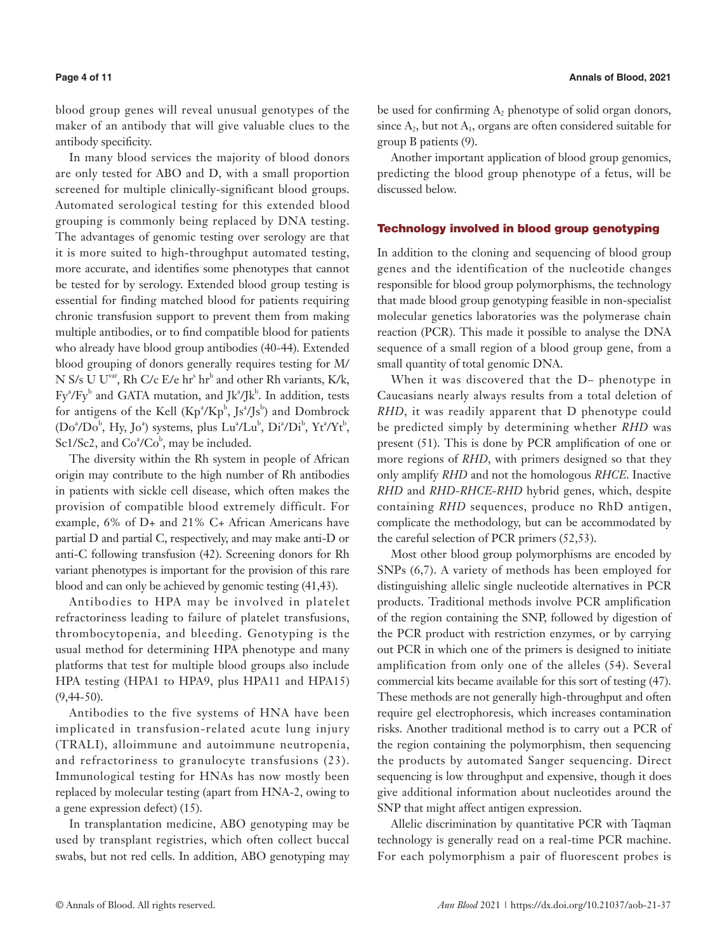blood group genes will reveal unusual genotypes of the maker of an antibody that will give valuable clues to the antibody specificity.

In many blood services the majority of blood donors are only tested for ABO and D, with a small proportion screened for multiple clinically-significant blood groups. Automated serological testing for this extended blood grouping is commonly being replaced by DNA testing. The advantages of genomic testing over serology are that it is more suited to high-throughput automated testing, more accurate, and identifies some phenotypes that cannot be tested for by serology. Extended blood group testing is essential for finding matched blood for patients requiring chronic transfusion support to prevent them from making multiple antibodies, or to find compatible blood for patients who already have blood group antibodies (40-44). Extended blood grouping of donors generally requires testing for M/ N S/s U U<sup>var</sup>, Rh C/c E/e hr<sup>s</sup> hr<sup>b</sup> and other Rh variants, K/k,  $Fy^2/Fy^b$  and GATA mutation, and Jk<sup>a</sup>/Jk<sup>b</sup>. In addition, tests for antigens of the Kell  $(Kp^2/Kp^b, Js^2/Js^b)$  and Dombrock  $(Do^a/Do^b, Hy, Jo^a)$  systems, plus  $Lu^a/Lu^b$ ,  $Di^a/Di^b$ ,  $Yt^a/Yt^b$ , Sc1/Sc2, and  $Co^2/Co^b$ , may be included.

The diversity within the Rh system in people of African origin may contribute to the high number of Rh antibodies in patients with sickle cell disease, which often makes the provision of compatible blood extremely difficult. For example, 6% of D+ and 21% C+ African Americans have partial D and partial C, respectively, and may make anti-D or anti-C following transfusion (42). Screening donors for Rh variant phenotypes is important for the provision of this rare blood and can only be achieved by genomic testing (41,43).

Antibodies to HPA may be involved in platelet refractoriness leading to failure of platelet transfusions, thrombocytopenia, and bleeding. Genotyping is the usual method for determining HPA phenotype and many platforms that test for multiple blood groups also include HPA testing (HPA1 to HPA9, plus HPA11 and HPA15) (9,44-50).

Antibodies to the five systems of HNA have been implicated in transfusion-related acute lung injury (TRALI), alloimmune and autoimmune neutropenia, and refractoriness to granulocyte transfusions (23). Immunological testing for HNAs has now mostly been replaced by molecular testing (apart from HNA-2, owing to a gene expression defect) (15).

In transplantation medicine, ABO genotyping may be used by transplant registries, which often collect buccal swabs, but not red cells. In addition, ABO genotyping may be used for confirming  $A_2$  phenotype of solid organ donors, since  $A_2$ , but not  $A_1$ , organs are often considered suitable for group B patients (9).

Another important application of blood group genomics, predicting the blood group phenotype of a fetus, will be discussed below.

#### Technology involved in blood group genotyping

In addition to the cloning and sequencing of blood group genes and the identification of the nucleotide changes responsible for blood group polymorphisms, the technology that made blood group genotyping feasible in non-specialist molecular genetics laboratories was the polymerase chain reaction (PCR). This made it possible to analyse the DNA sequence of a small region of a blood group gene, from a small quantity of total genomic DNA.

When it was discovered that the D– phenotype in Caucasians nearly always results from a total deletion of *RHD*, it was readily apparent that D phenotype could be predicted simply by determining whether *RHD* was present (51). This is done by PCR amplification of one or more regions of *RHD*, with primers designed so that they only amplify *RHD* and not the homologous *RHCE*. Inactive *RHD* and *RHD-RHCE-RHD* hybrid genes, which, despite containing *RHD* sequences, produce no RhD antigen, complicate the methodology, but can be accommodated by the careful selection of PCR primers (52,53).

Most other blood group polymorphisms are encoded by SNPs (6,7). A variety of methods has been employed for distinguishing allelic single nucleotide alternatives in PCR products. Traditional methods involve PCR amplification of the region containing the SNP, followed by digestion of the PCR product with restriction enzymes, or by carrying out PCR in which one of the primers is designed to initiate amplification from only one of the alleles (54). Several commercial kits became available for this sort of testing (47). These methods are not generally high-throughput and often require gel electrophoresis, which increases contamination risks. Another traditional method is to carry out a PCR of the region containing the polymorphism, then sequencing the products by automated Sanger sequencing. Direct sequencing is low throughput and expensive, though it does give additional information about nucleotides around the SNP that might affect antigen expression.

Allelic discrimination by quantitative PCR with Taqman technology is generally read on a real-time PCR machine. For each polymorphism a pair of fluorescent probes is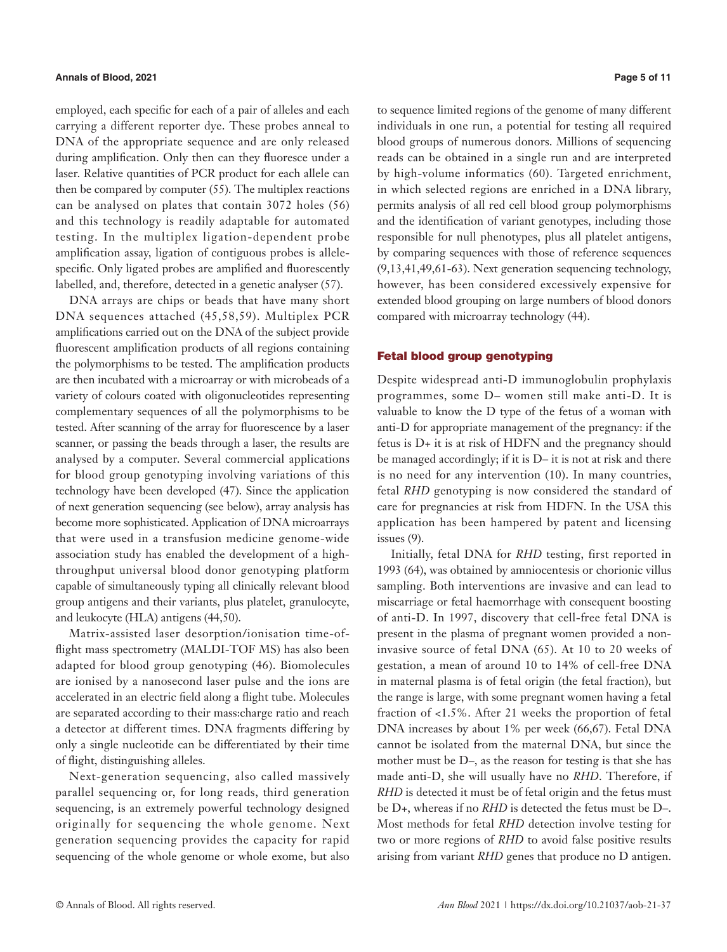### **Annals of Blood, 2021 Page 5 of 11**

employed, each specific for each of a pair of alleles and each carrying a different reporter dye. These probes anneal to DNA of the appropriate sequence and are only released during amplification. Only then can they fluoresce under a laser. Relative quantities of PCR product for each allele can then be compared by computer (55). The multiplex reactions can be analysed on plates that contain 3072 holes (56) and this technology is readily adaptable for automated testing. In the multiplex ligation-dependent probe amplification assay, ligation of contiguous probes is allelespecific. Only ligated probes are amplified and fluorescently labelled, and, therefore, detected in a genetic analyser (57).

DNA arrays are chips or beads that have many short DNA sequences attached (45,58,59). Multiplex PCR amplifications carried out on the DNA of the subject provide fluorescent amplification products of all regions containing the polymorphisms to be tested. The amplification products are then incubated with a microarray or with microbeads of a variety of colours coated with oligonucleotides representing complementary sequences of all the polymorphisms to be tested. After scanning of the array for fluorescence by a laser scanner, or passing the beads through a laser, the results are analysed by a computer. Several commercial applications for blood group genotyping involving variations of this technology have been developed (47). Since the application of next generation sequencing (see below), array analysis has become more sophisticated. Application of DNA microarrays that were used in a transfusion medicine genome-wide association study has enabled the development of a highthroughput universal blood donor genotyping platform capable of simultaneously typing all clinically relevant blood group antigens and their variants, plus platelet, granulocyte, and leukocyte (HLA) antigens (44,50).

Matrix-assisted laser desorption/ionisation time-offlight mass spectrometry (MALDI-TOF MS) has also been adapted for blood group genotyping (46). Biomolecules are ionised by a nanosecond laser pulse and the ions are accelerated in an electric field along a flight tube. Molecules are separated according to their mass:charge ratio and reach a detector at different times. DNA fragments differing by only a single nucleotide can be differentiated by their time of flight, distinguishing alleles.

Next-generation sequencing, also called massively parallel sequencing or, for long reads, third generation sequencing, is an extremely powerful technology designed originally for sequencing the whole genome. Next generation sequencing provides the capacity for rapid sequencing of the whole genome or whole exome, but also

to sequence limited regions of the genome of many different individuals in one run, a potential for testing all required blood groups of numerous donors. Millions of sequencing reads can be obtained in a single run and are interpreted by high-volume informatics (60). Targeted enrichment, in which selected regions are enriched in a DNA library, permits analysis of all red cell blood group polymorphisms and the identification of variant genotypes, including those responsible for null phenotypes, plus all platelet antigens, by comparing sequences with those of reference sequences (9,13,41,49,61-63). Next generation sequencing technology, however, has been considered excessively expensive for extended blood grouping on large numbers of blood donors compared with microarray technology (44).

#### Fetal blood group genotyping

Despite widespread anti-D immunoglobulin prophylaxis programmes, some D– women still make anti-D. It is valuable to know the D type of the fetus of a woman with anti-D for appropriate management of the pregnancy: if the fetus is D+ it is at risk of HDFN and the pregnancy should be managed accordingly; if it is D– it is not at risk and there is no need for any intervention (10). In many countries, fetal *RHD* genotyping is now considered the standard of care for pregnancies at risk from HDFN. In the USA this application has been hampered by patent and licensing issues (9).

Initially, fetal DNA for *RHD* testing, first reported in 1993 (64), was obtained by amniocentesis or chorionic villus sampling. Both interventions are invasive and can lead to miscarriage or fetal haemorrhage with consequent boosting of anti-D. In 1997, discovery that cell-free fetal DNA is present in the plasma of pregnant women provided a noninvasive source of fetal DNA (65). At 10 to 20 weeks of gestation, a mean of around 10 to 14% of cell-free DNA in maternal plasma is of fetal origin (the fetal fraction), but the range is large, with some pregnant women having a fetal fraction of <1.5%. After 21 weeks the proportion of fetal DNA increases by about 1% per week (66,67). Fetal DNA cannot be isolated from the maternal DNA, but since the mother must be D–, as the reason for testing is that she has made anti-D, she will usually have no *RHD*. Therefore, if *RHD* is detected it must be of fetal origin and the fetus must be D+, whereas if no *RHD* is detected the fetus must be D–. Most methods for fetal *RHD* detection involve testing for two or more regions of *RHD* to avoid false positive results arising from variant *RHD* genes that produce no D antigen.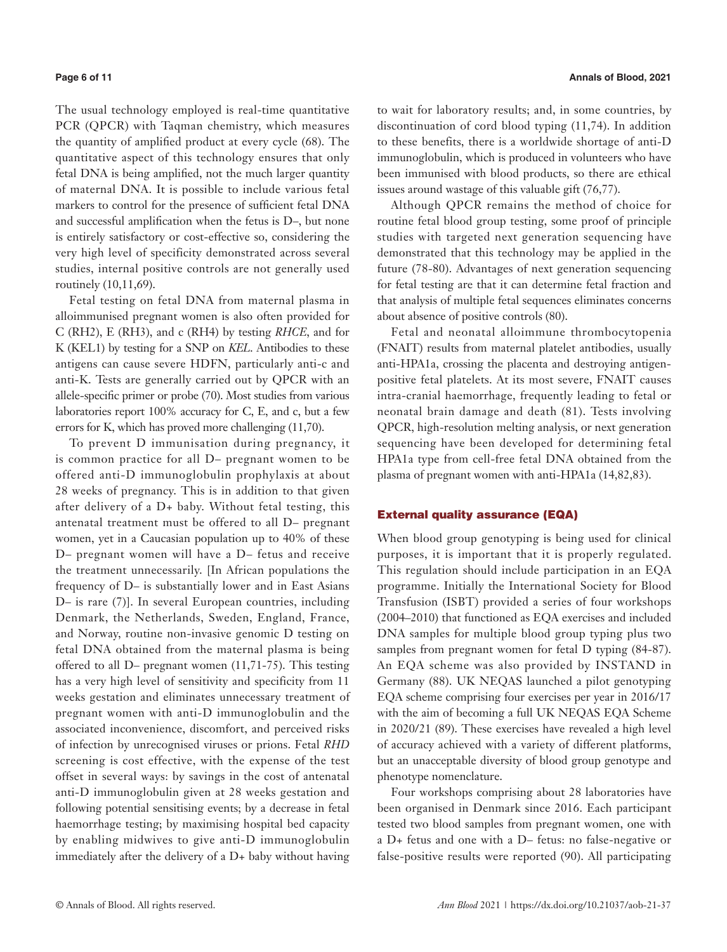The usual technology employed is real-time quantitative PCR (QPCR) with Taqman chemistry, which measures the quantity of amplified product at every cycle (68). The quantitative aspect of this technology ensures that only fetal DNA is being amplified, not the much larger quantity of maternal DNA. It is possible to include various fetal markers to control for the presence of sufficient fetal DNA and successful amplification when the fetus is D–, but none is entirely satisfactory or cost-effective so, considering the very high level of specificity demonstrated across several studies, internal positive controls are not generally used routinely (10,11,69).

Fetal testing on fetal DNA from maternal plasma in alloimmunised pregnant women is also often provided for C (RH2), E (RH3), and c (RH4) by testing *RHCE*, and for K (KEL1) by testing for a SNP on *KEL*. Antibodies to these antigens can cause severe HDFN, particularly anti-c and anti-K. Tests are generally carried out by QPCR with an allele-specific primer or probe (70). Most studies from various laboratories report 100% accuracy for C, E, and c, but a few errors for K, which has proved more challenging (11,70).

To prevent D immunisation during pregnancy, it is common practice for all D– pregnant women to be offered anti-D immunoglobulin prophylaxis at about 28 weeks of pregnancy. This is in addition to that given after delivery of a D+ baby. Without fetal testing, this antenatal treatment must be offered to all D– pregnant women, yet in a Caucasian population up to 40% of these D– pregnant women will have a D– fetus and receive the treatment unnecessarily. [In African populations the frequency of D– is substantially lower and in East Asians D– is rare (7)]. In several European countries, including Denmark, the Netherlands, Sweden, England, France, and Norway, routine non-invasive genomic D testing on fetal DNA obtained from the maternal plasma is being offered to all D– pregnant women (11,71-75). This testing has a very high level of sensitivity and specificity from 11 weeks gestation and eliminates unnecessary treatment of pregnant women with anti-D immunoglobulin and the associated inconvenience, discomfort, and perceived risks of infection by unrecognised viruses or prions. Fetal *RHD* screening is cost effective, with the expense of the test offset in several ways: by savings in the cost of antenatal anti-D immunoglobulin given at 28 weeks gestation and following potential sensitising events; by a decrease in fetal haemorrhage testing; by maximising hospital bed capacity by enabling midwives to give anti-D immunoglobulin immediately after the delivery of a D+ baby without having to wait for laboratory results; and, in some countries, by discontinuation of cord blood typing (11,74). In addition to these benefits, there is a worldwide shortage of anti-D immunoglobulin, which is produced in volunteers who have been immunised with blood products, so there are ethical issues around wastage of this valuable gift (76,77).

Although QPCR remains the method of choice for routine fetal blood group testing, some proof of principle studies with targeted next generation sequencing have demonstrated that this technology may be applied in the future (78-80). Advantages of next generation sequencing for fetal testing are that it can determine fetal fraction and that analysis of multiple fetal sequences eliminates concerns about absence of positive controls (80).

Fetal and neonatal alloimmune thrombocytopenia (FNAIT) results from maternal platelet antibodies, usually anti-HPA1a, crossing the placenta and destroying antigenpositive fetal platelets. At its most severe, FNAIT causes intra-cranial haemorrhage, frequently leading to fetal or neonatal brain damage and death (81). Tests involving QPCR, high-resolution melting analysis, or next generation sequencing have been developed for determining fetal HPA1a type from cell-free fetal DNA obtained from the plasma of pregnant women with anti-HPA1a (14,82,83).

#### External quality assurance (EQA)

When blood group genotyping is being used for clinical purposes, it is important that it is properly regulated. This regulation should include participation in an EQA programme. Initially the International Society for Blood Transfusion (ISBT) provided a series of four workshops (2004–2010) that functioned as EQA exercises and included DNA samples for multiple blood group typing plus two samples from pregnant women for fetal D typing  $(84-87)$ . An EQA scheme was also provided by INSTAND in Germany (88). UK NEQAS launched a pilot genotyping EQA scheme comprising four exercises per year in 2016/17 with the aim of becoming a full UK NEQAS EQA Scheme in 2020/21 (89). These exercises have revealed a high level of accuracy achieved with a variety of different platforms, but an unacceptable diversity of blood group genotype and phenotype nomenclature.

Four workshops comprising about 28 laboratories have been organised in Denmark since 2016. Each participant tested two blood samples from pregnant women, one with a D+ fetus and one with a D– fetus: no false-negative or false-positive results were reported (90). All participating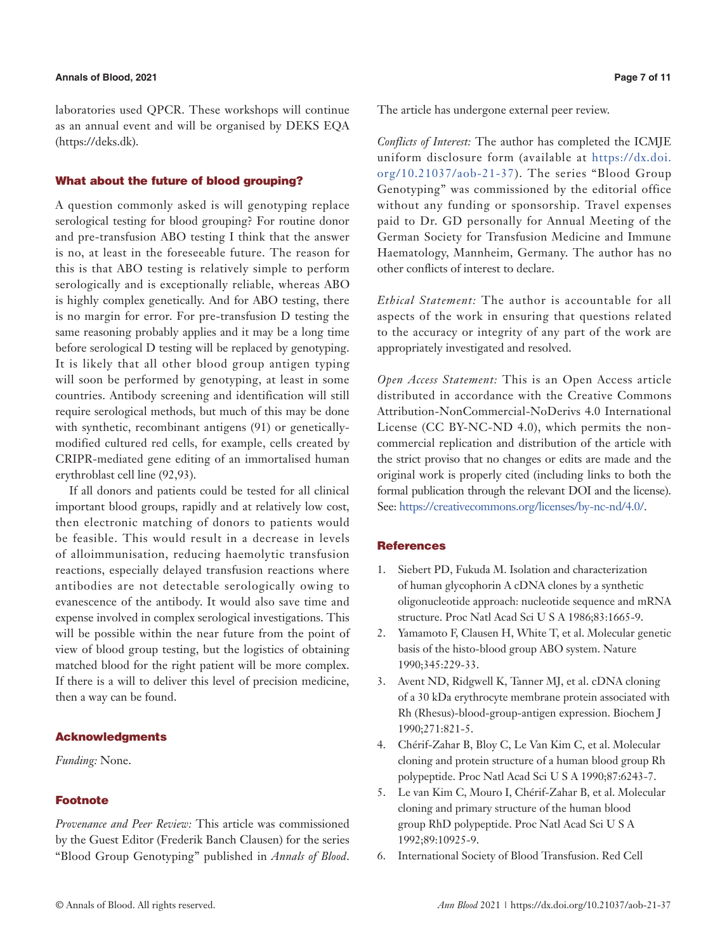laboratories used QPCR. These workshops will continue as an annual event and will be organised by DEKS EQA (https://deks.dk).

#### What about the future of blood grouping?

A question commonly asked is will genotyping replace serological testing for blood grouping? For routine donor and pre-transfusion ABO testing I think that the answer is no, at least in the foreseeable future. The reason for this is that ABO testing is relatively simple to perform serologically and is exceptionally reliable, whereas ABO is highly complex genetically. And for ABO testing, there is no margin for error. For pre-transfusion D testing the same reasoning probably applies and it may be a long time before serological D testing will be replaced by genotyping. It is likely that all other blood group antigen typing will soon be performed by genotyping, at least in some countries. Antibody screening and identification will still require serological methods, but much of this may be done with synthetic, recombinant antigens (91) or geneticallymodified cultured red cells, for example, cells created by CRIPR-mediated gene editing of an immortalised human erythroblast cell line (92,93).

If all donors and patients could be tested for all clinical important blood groups, rapidly and at relatively low cost, then electronic matching of donors to patients would be feasible. This would result in a decrease in levels of alloimmunisation, reducing haemolytic transfusion reactions, especially delayed transfusion reactions where antibodies are not detectable serologically owing to evanescence of the antibody. It would also save time and expense involved in complex serological investigations. This will be possible within the near future from the point of view of blood group testing, but the logistics of obtaining matched blood for the right patient will be more complex. If there is a will to deliver this level of precision medicine, then a way can be found.

### Acknowledgments

# *Funding:* None.

### Footnote

*Provenance and Peer Review:* This article was commissioned by the Guest Editor (Frederik Banch Clausen) for the series "Blood Group Genotyping" published in *Annals of Blood*.

The article has undergone external peer review.

*Conflicts of Interest:* The author has completed the ICMJE uniform disclosure form (available at [https://dx.doi.](https://dx.doi.org/10.21037/aob-21-37) [org/10.21037/aob-21-37\)](https://dx.doi.org/10.21037/aob-21-37). The series "Blood Group Genotyping" was commissioned by the editorial office without any funding or sponsorship. Travel expenses paid to Dr. GD personally for Annual Meeting of the German Society for Transfusion Medicine and Immune Haematology, Mannheim, Germany. The author has no other conflicts of interest to declare.

*Ethical Statement:* The author is accountable for all aspects of the work in ensuring that questions related to the accuracy or integrity of any part of the work are appropriately investigated and resolved.

*Open Access Statement:* This is an Open Access article distributed in accordance with the Creative Commons Attribution-NonCommercial-NoDerivs 4.0 International License (CC BY-NC-ND 4.0), which permits the noncommercial replication and distribution of the article with the strict proviso that no changes or edits are made and the original work is properly cited (including links to both the formal publication through the relevant DOI and the license). See: [https://creativecommons.org/licenses/by-nc-nd/4.0/.](https://creativecommons.org/licenses/by-nc-nd/4.0/)

#### **References**

- 1. Siebert PD, Fukuda M. Isolation and characterization of human glycophorin A cDNA clones by a synthetic oligonucleotide approach: nucleotide sequence and mRNA structure. Proc Natl Acad Sci U S A 1986;83:1665-9.
- 2. Yamamoto F, Clausen H, White T, et al. Molecular genetic basis of the histo-blood group ABO system. Nature 1990;345:229-33.
- 3. Avent ND, Ridgwell K, Tanner MJ, et al. cDNA cloning of a 30 kDa erythrocyte membrane protein associated with Rh (Rhesus)-blood-group-antigen expression. Biochem J 1990;271:821-5.
- 4. Chérif-Zahar B, Bloy C, Le Van Kim C, et al. Molecular cloning and protein structure of a human blood group Rh polypeptide. Proc Natl Acad Sci U S A 1990;87:6243-7.
- 5. Le van Kim C, Mouro I, Chérif-Zahar B, et al. Molecular cloning and primary structure of the human blood group RhD polypeptide. Proc Natl Acad Sci U S A 1992;89:10925-9.
- 6. International Society of Blood Transfusion. Red Cell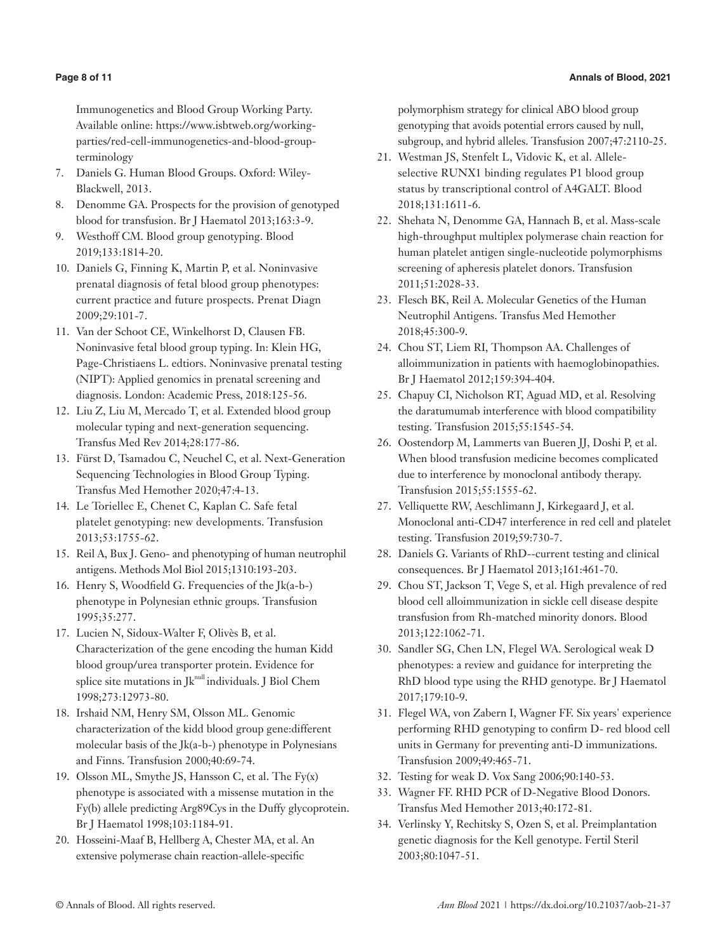Immunogenetics and Blood Group Working Party. Available online: https://www.isbtweb.org/workingparties/red-cell-immunogenetics-and-blood-groupterminology

- 7. Daniels G. Human Blood Groups. Oxford: Wiley-Blackwell, 2013.
- 8. Denomme GA. Prospects for the provision of genotyped blood for transfusion. Br J Haematol 2013;163:3-9.
- 9. Westhoff CM. Blood group genotyping. Blood 2019;133:1814-20.
- 10. Daniels G, Finning K, Martin P, et al. Noninvasive prenatal diagnosis of fetal blood group phenotypes: current practice and future prospects. Prenat Diagn 2009;29:101-7.
- 11. Van der Schoot CE, Winkelhorst D, Clausen FB. Noninvasive fetal blood group typing. In: Klein HG, Page-Christiaens L. edtiors. Noninvasive prenatal testing (NIPT): Applied genomics in prenatal screening and diagnosis. London: Academic Press, 2018:125-56.
- 12. Liu Z, Liu M, Mercado T, et al. Extended blood group molecular typing and next-generation sequencing. Transfus Med Rev 2014;28:177-86.
- 13. Fürst D, Tsamadou C, Neuchel C, et al. Next-Generation Sequencing Technologies in Blood Group Typing. Transfus Med Hemother 2020;47:4-13.
- 14. Le Toriellec E, Chenet C, Kaplan C. Safe fetal platelet genotyping: new developments. Transfusion 2013;53:1755-62.
- 15. Reil A, Bux J. Geno- and phenotyping of human neutrophil antigens. Methods Mol Biol 2015;1310:193-203.
- 16. Henry S, Woodfield G. Frequencies of the Jk(a-b-) phenotype in Polynesian ethnic groups. Transfusion 1995;35:277.
- 17. Lucien N, Sidoux-Walter F, Olivès B, et al. Characterization of the gene encoding the human Kidd blood group/urea transporter protein. Evidence for splice site mutations in  $Jk^{null}$  individuals. J Biol Chem 1998;273:12973-80.
- 18. Irshaid NM, Henry SM, Olsson ML. Genomic characterization of the kidd blood group gene:different molecular basis of the Jk(a-b-) phenotype in Polynesians and Finns. Transfusion 2000;40:69-74.
- 19. Olsson ML, Smythe JS, Hansson C, et al. The Fy(x) phenotype is associated with a missense mutation in the Fy(b) allele predicting Arg89Cys in the Duffy glycoprotein. Br J Haematol 1998;103:1184-91.
- 20. Hosseini-Maaf B, Hellberg A, Chester MA, et al. An extensive polymerase chain reaction-allele-specific

polymorphism strategy for clinical ABO blood group genotyping that avoids potential errors caused by null, subgroup, and hybrid alleles. Transfusion 2007;47:2110-25.

- 21. Westman JS, Stenfelt L, Vidovic K, et al. Alleleselective RUNX1 binding regulates P1 blood group status by transcriptional control of A4GALT. Blood 2018;131:1611-6.
- 22. Shehata N, Denomme GA, Hannach B, et al. Mass-scale high-throughput multiplex polymerase chain reaction for human platelet antigen single-nucleotide polymorphisms screening of apheresis platelet donors. Transfusion 2011;51:2028-33.
- 23. Flesch BK, Reil A. Molecular Genetics of the Human Neutrophil Antigens. Transfus Med Hemother 2018;45:300-9.
- 24. Chou ST, Liem RI, Thompson AA. Challenges of alloimmunization in patients with haemoglobinopathies. Br J Haematol 2012;159:394-404.
- 25. Chapuy CI, Nicholson RT, Aguad MD, et al. Resolving the daratumumab interference with blood compatibility testing. Transfusion 2015;55:1545-54.
- 26. Oostendorp M, Lammerts van Bueren JJ, Doshi P, et al. When blood transfusion medicine becomes complicated due to interference by monoclonal antibody therapy. Transfusion 2015;55:1555-62.
- 27. Velliquette RW, Aeschlimann J, Kirkegaard J, et al. Monoclonal anti-CD47 interference in red cell and platelet testing. Transfusion 2019;59:730-7.
- 28. Daniels G. Variants of RhD--current testing and clinical consequences. Br J Haematol 2013;161:461-70.
- 29. Chou ST, Jackson T, Vege S, et al. High prevalence of red blood cell alloimmunization in sickle cell disease despite transfusion from Rh-matched minority donors. Blood 2013;122:1062-71.
- 30. Sandler SG, Chen LN, Flegel WA. Serological weak D phenotypes: a review and guidance for interpreting the RhD blood type using the RHD genotype. Br J Haematol 2017;179:10-9.
- 31. Flegel WA, von Zabern I, Wagner FF. Six years' experience performing RHD genotyping to confirm D- red blood cell units in Germany for preventing anti-D immunizations. Transfusion 2009;49:465-71.
- 32. Testing for weak D. Vox Sang 2006;90:140-53.
- 33. Wagner FF. RHD PCR of D-Negative Blood Donors. Transfus Med Hemother 2013;40:172-81.
- 34. Verlinsky Y, Rechitsky S, Ozen S, et al. Preimplantation genetic diagnosis for the Kell genotype. Fertil Steril 2003;80:1047-51.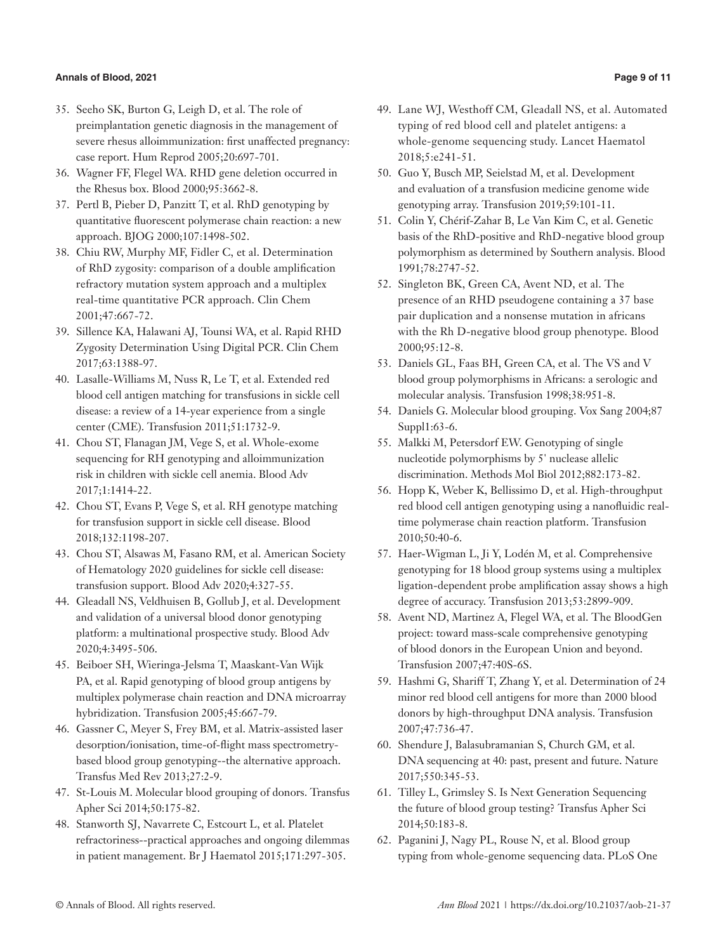### **Annals of Blood, 2021 Page 9 of 11**

- 35. Seeho SK, Burton G, Leigh D, et al. The role of preimplantation genetic diagnosis in the management of severe rhesus alloimmunization: first unaffected pregnancy: case report. Hum Reprod 2005;20:697-701.
- 36. Wagner FF, Flegel WA. RHD gene deletion occurred in the Rhesus box. Blood 2000;95:3662-8.
- 37. Pertl B, Pieber D, Panzitt T, et al. RhD genotyping by quantitative fluorescent polymerase chain reaction: a new approach. BJOG 2000;107:1498-502.
- 38. Chiu RW, Murphy MF, Fidler C, et al. Determination of RhD zygosity: comparison of a double amplification refractory mutation system approach and a multiplex real-time quantitative PCR approach. Clin Chem 2001;47:667-72.
- 39. Sillence KA, Halawani AJ, Tounsi WA, et al. Rapid RHD Zygosity Determination Using Digital PCR. Clin Chem 2017;63:1388-97.
- 40. Lasalle-Williams M, Nuss R, Le T, et al. Extended red blood cell antigen matching for transfusions in sickle cell disease: a review of a 14-year experience from a single center (CME). Transfusion 2011;51:1732-9.
- 41. Chou ST, Flanagan JM, Vege S, et al. Whole-exome sequencing for RH genotyping and alloimmunization risk in children with sickle cell anemia. Blood Adv 2017;1:1414-22.
- 42. Chou ST, Evans P, Vege S, et al. RH genotype matching for transfusion support in sickle cell disease. Blood 2018;132:1198-207.
- 43. Chou ST, Alsawas M, Fasano RM, et al. American Society of Hematology 2020 guidelines for sickle cell disease: transfusion support. Blood Adv 2020;4:327-55.
- 44. Gleadall NS, Veldhuisen B, Gollub J, et al. Development and validation of a universal blood donor genotyping platform: a multinational prospective study. Blood Adv 2020;4:3495-506.
- 45. Beiboer SH, Wieringa-Jelsma T, Maaskant-Van Wijk PA, et al. Rapid genotyping of blood group antigens by multiplex polymerase chain reaction and DNA microarray hybridization. Transfusion 2005;45:667-79.
- 46. Gassner C, Meyer S, Frey BM, et al. Matrix-assisted laser desorption/ionisation, time-of-flight mass spectrometrybased blood group genotyping--the alternative approach. Transfus Med Rev 2013;27:2-9.
- 47. St-Louis M. Molecular blood grouping of donors. Transfus Apher Sci 2014;50:175-82.
- 48. Stanworth SJ, Navarrete C, Estcourt L, et al. Platelet refractoriness--practical approaches and ongoing dilemmas in patient management. Br J Haematol 2015;171:297-305.
- 49. Lane WJ, Westhoff CM, Gleadall NS, et al. Automated typing of red blood cell and platelet antigens: a whole-genome sequencing study. Lancet Haematol 2018;5:e241-51.
- 50. Guo Y, Busch MP, Seielstad M, et al. Development and evaluation of a transfusion medicine genome wide genotyping array. Transfusion 2019;59:101-11.
- 51. Colin Y, Chérif-Zahar B, Le Van Kim C, et al. Genetic basis of the RhD-positive and RhD-negative blood group polymorphism as determined by Southern analysis. Blood 1991;78:2747-52.
- 52. Singleton BK, Green CA, Avent ND, et al. The presence of an RHD pseudogene containing a 37 base pair duplication and a nonsense mutation in africans with the Rh D-negative blood group phenotype. Blood 2000;95:12-8.
- 53. Daniels GL, Faas BH, Green CA, et al. The VS and V blood group polymorphisms in Africans: a serologic and molecular analysis. Transfusion 1998;38:951-8.
- 54. Daniels G. Molecular blood grouping. Vox Sang 2004;87 Suppl1:63-6.
- 55. Malkki M, Petersdorf EW. Genotyping of single nucleotide polymorphisms by 5' nuclease allelic discrimination. Methods Mol Biol 2012;882:173-82.
- 56. Hopp K, Weber K, Bellissimo D, et al. High-throughput red blood cell antigen genotyping using a nanofluidic realtime polymerase chain reaction platform. Transfusion 2010;50:40-6.
- 57. Haer-Wigman L, Ji Y, Lodén M, et al. Comprehensive genotyping for 18 blood group systems using a multiplex ligation-dependent probe amplification assay shows a high degree of accuracy. Transfusion 2013;53:2899-909.
- 58. Avent ND, Martinez A, Flegel WA, et al. The BloodGen project: toward mass-scale comprehensive genotyping of blood donors in the European Union and beyond. Transfusion 2007;47:40S-6S.
- 59. Hashmi G, Shariff T, Zhang Y, et al. Determination of 24 minor red blood cell antigens for more than 2000 blood donors by high-throughput DNA analysis. Transfusion 2007;47:736-47.
- 60. Shendure J, Balasubramanian S, Church GM, et al. DNA sequencing at 40: past, present and future. Nature 2017;550:345-53.
- 61. Tilley L, Grimsley S. Is Next Generation Sequencing the future of blood group testing? Transfus Apher Sci 2014;50:183-8.
- 62. Paganini J, Nagy PL, Rouse N, et al. Blood group typing from whole-genome sequencing data. PLoS One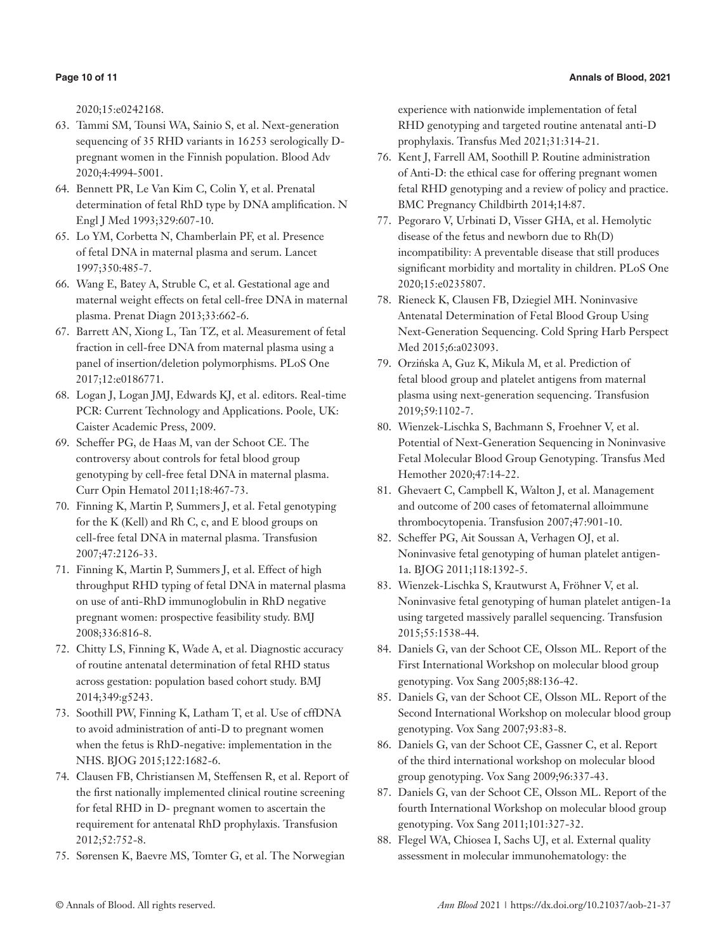2020;15:e0242168.

- 63. Tammi SM, Tounsi WA, Sainio S, et al. Next-generation sequencing of 35 RHD variants in 16253 serologically Dpregnant women in the Finnish population. Blood Adv 2020;4:4994-5001.
- 64. Bennett PR, Le Van Kim C, Colin Y, et al. Prenatal determination of fetal RhD type by DNA amplification. N Engl J Med 1993;329:607-10.
- 65. Lo YM, Corbetta N, Chamberlain PF, et al. Presence of fetal DNA in maternal plasma and serum. Lancet 1997;350:485-7.
- 66. Wang E, Batey A, Struble C, et al. Gestational age and maternal weight effects on fetal cell-free DNA in maternal plasma. Prenat Diagn 2013;33:662-6.
- 67. Barrett AN, Xiong L, Tan TZ, et al. Measurement of fetal fraction in cell-free DNA from maternal plasma using a panel of insertion/deletion polymorphisms. PLoS One 2017;12:e0186771.
- 68. Logan J, Logan JMJ, Edwards KJ, et al. editors. Real-time PCR: Current Technology and Applications. Poole, UK: Caister Academic Press, 2009.
- 69. Scheffer PG, de Haas M, van der Schoot CE. The controversy about controls for fetal blood group genotyping by cell-free fetal DNA in maternal plasma. Curr Opin Hematol 2011;18:467-73.
- 70. Finning K, Martin P, Summers J, et al. Fetal genotyping for the K (Kell) and Rh C, c, and E blood groups on cell-free fetal DNA in maternal plasma. Transfusion 2007;47:2126-33.
- 71. Finning K, Martin P, Summers J, et al. Effect of high throughput RHD typing of fetal DNA in maternal plasma on use of anti-RhD immunoglobulin in RhD negative pregnant women: prospective feasibility study. BMJ 2008;336:816-8.
- 72. Chitty LS, Finning K, Wade A, et al. Diagnostic accuracy of routine antenatal determination of fetal RHD status across gestation: population based cohort study. BMJ 2014;349:g5243.
- 73. Soothill PW, Finning K, Latham T, et al. Use of cffDNA to avoid administration of anti-D to pregnant women when the fetus is RhD-negative: implementation in the NHS. BJOG 2015;122:1682-6.
- 74. Clausen FB, Christiansen M, Steffensen R, et al. Report of the first nationally implemented clinical routine screening for fetal RHD in D- pregnant women to ascertain the requirement for antenatal RhD prophylaxis. Transfusion 2012;52:752-8.
- 75. Sørensen K, Baevre MS, Tomter G, et al. The Norwegian

experience with nationwide implementation of fetal RHD genotyping and targeted routine antenatal anti-D prophylaxis. Transfus Med 2021;31:314-21.

- 76. Kent J, Farrell AM, Soothill P. Routine administration of Anti-D: the ethical case for offering pregnant women fetal RHD genotyping and a review of policy and practice. BMC Pregnancy Childbirth 2014;14:87.
- 77. Pegoraro V, Urbinati D, Visser GHA, et al. Hemolytic disease of the fetus and newborn due to Rh(D) incompatibility: A preventable disease that still produces significant morbidity and mortality in children. PLoS One 2020;15:e0235807.
- 78. Rieneck K, Clausen FB, Dziegiel MH. Noninvasive Antenatal Determination of Fetal Blood Group Using Next-Generation Sequencing. Cold Spring Harb Perspect Med 2015;6:a023093.
- 79. Orzińska A, Guz K, Mikula M, et al. Prediction of fetal blood group and platelet antigens from maternal plasma using next-generation sequencing. Transfusion 2019;59:1102-7.
- 80. Wienzek-Lischka S, Bachmann S, Froehner V, et al. Potential of Next-Generation Sequencing in Noninvasive Fetal Molecular Blood Group Genotyping. Transfus Med Hemother 2020;47:14-22.
- 81. Ghevaert C, Campbell K, Walton J, et al. Management and outcome of 200 cases of fetomaternal alloimmune thrombocytopenia. Transfusion 2007;47:901-10.
- 82. Scheffer PG, Ait Soussan A, Verhagen OJ, et al. Noninvasive fetal genotyping of human platelet antigen-1a. BJOG 2011;118:1392-5.
- 83. Wienzek-Lischka S, Krautwurst A, Fröhner V, et al. Noninvasive fetal genotyping of human platelet antigen-1a using targeted massively parallel sequencing. Transfusion 2015;55:1538-44.
- 84. Daniels G, van der Schoot CE, Olsson ML. Report of the First International Workshop on molecular blood group genotyping. Vox Sang 2005;88:136-42.
- 85. Daniels G, van der Schoot CE, Olsson ML. Report of the Second International Workshop on molecular blood group genotyping. Vox Sang 2007;93:83-8.
- 86. Daniels G, van der Schoot CE, Gassner C, et al. Report of the third international workshop on molecular blood group genotyping. Vox Sang 2009;96:337-43.
- 87. Daniels G, van der Schoot CE, Olsson ML. Report of the fourth International Workshop on molecular blood group genotyping. Vox Sang 2011;101:327-32.
- 88. Flegel WA, Chiosea I, Sachs UJ, et al. External quality assessment in molecular immunohematology: the